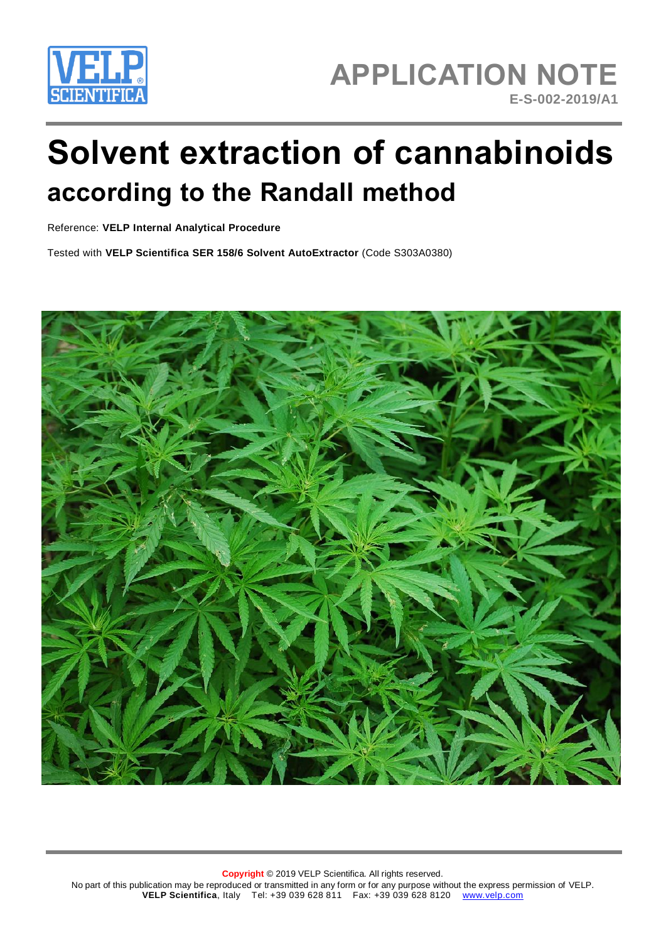

# **Solvent extraction of cannabinoids according to the Randall method**

Reference: **VELP Internal Analytical Procedure**

Tested with **VELP Scientifica SER 158/6 Solvent AutoExtractor** (Code S303A0380)



**Copyright** © 2019 VELP Scientifica. All rights reserved. No part of this publication may be reproduced or transmitted in any form or for any purpose without the express permission of VELP. **VELP Scientifica**, Italy Tel: +39 039 628 811 Fax: +39 039 628 8120 [www.velp.com](http://www.velp.com/)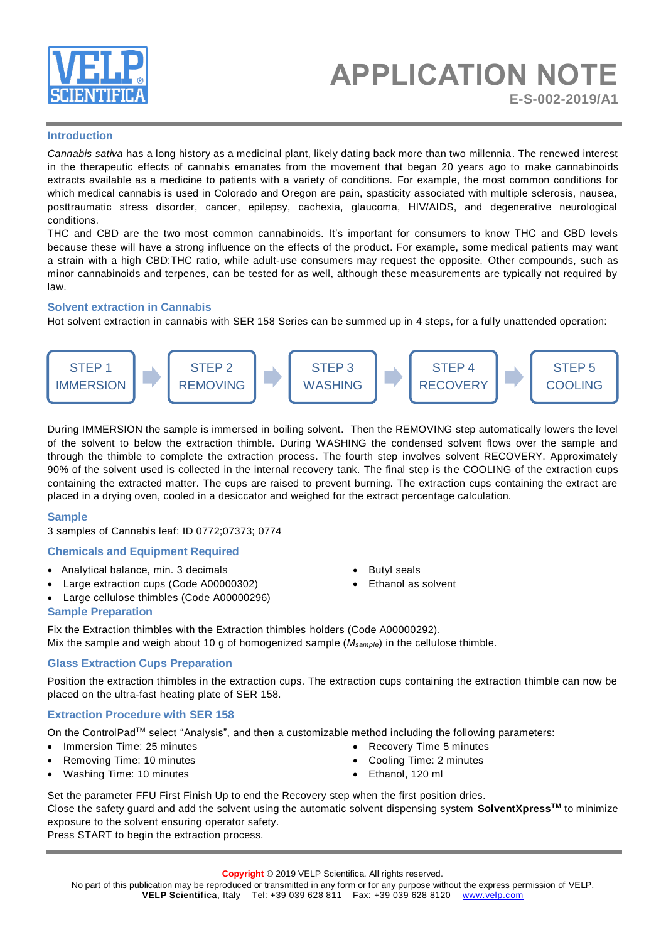

## **APPLICATION NOTE E-S-002-2019/A1**

#### **Introduction**

*Cannabis sativa* has a long history as a medicinal plant, likely dating back more than two millennia. The renewed interest in the therapeutic effects of cannabis emanates from the movement that began 20 years ago to make cannabinoids extracts available as a medicine to patients with a variety of conditions. For example, the most common conditions for which medical cannabis is used in Colorado and Oregon are pain, spasticity associated with multiple sclerosis, nausea, posttraumatic stress disorder, cancer, epilepsy, cachexia, glaucoma, HIV/AIDS, and degenerative neurological conditions.

THC and CBD are the two most [common cannabinoids.](https://www.leafly.com/news/cannabis-101/list-major-cannabinoids-cannabis-effects) It's important for consumers to know THC and CBD levels because these will have a strong influence on the effects of the product. For example, some medical patients may want a strain with a high [CBD:THC ratio,](https://www.leafly.com/news/science-tech/cbd-vs-thc-cbd-not-psychoactive) while adult-use consumers may request the opposite. Other compounds, such as minor cannabinoids and terpenes, can be tested for as well, although these measurements are typically not required by law.

#### **Solvent extraction in Cannabis**

Hot solvent extraction in cannabis with SER 158 Series can be summed up in 4 steps, for a fully unattended operation:



During IMMERSION the sample is immersed in boiling solvent. Then the REMOVING step automatically lowers the level of the solvent to below the extraction thimble. During WASHING the condensed solvent flows over the sample and through the thimble to complete the extraction process. The fourth step involves solvent RECOVERY. Approximately 90% of the solvent used is collected in the internal recovery tank. The final step is the COOLING of the extraction cups containing the extracted matter. The cups are raised to prevent burning. The extraction cups containing the extract are placed in a drying oven, cooled in a desiccator and weighed for the extract percentage calculation.

#### **Sample**

3 samples of Cannabis leaf: ID 0772;07373; 0774

### **Chemicals and Equipment Required**

- Analytical balance, min. 3 decimals
- Large extraction cups (Code A00000302)
- Large cellulose thimbles (Code A00000296)

#### **Sample Preparation**

**Butyl seals** 

• Ethanol as solvent

• Recovery Time 5 minutes • Cooling Time: 2 minutes

• Ethanol, 120 ml

Fix the Extraction thimbles with the Extraction thimbles holders (Code A00000292). Mix the sample and weigh about 10 g of homogenized sample (*Msample*) in the cellulose thimble.

#### **Glass Extraction Cups Preparation**

Position the extraction thimbles in the extraction cups. The extraction cups containing the extraction thimble can now be placed on the ultra-fast heating plate of SER 158.

#### **Extraction Procedure with SER 158**

On the ControlPadTM select "Analysis", and then a customizable method including the following parameters:

- Immersion Time: 25 minutes
- Removing Time: 10 minutes
- Washing Time: 10 minutes

Set the parameter FFU First Finish Up to end the Recovery step when the first position dries. Close the safety guard and add the solvent using the automatic solvent dispensing system **SolventXpressTM** to minimize exposure to the solvent ensuring operator safety.

Press START to begin the extraction process.

No part of this publication may be reproduced or transmitted in any form or for any purpose without the express permission of VELP. **VELP Scientifica**, Italy Tel: +39 039 628 811 Fax: +39 039 628 8120 [www.velp.com](http://www.velp.com/)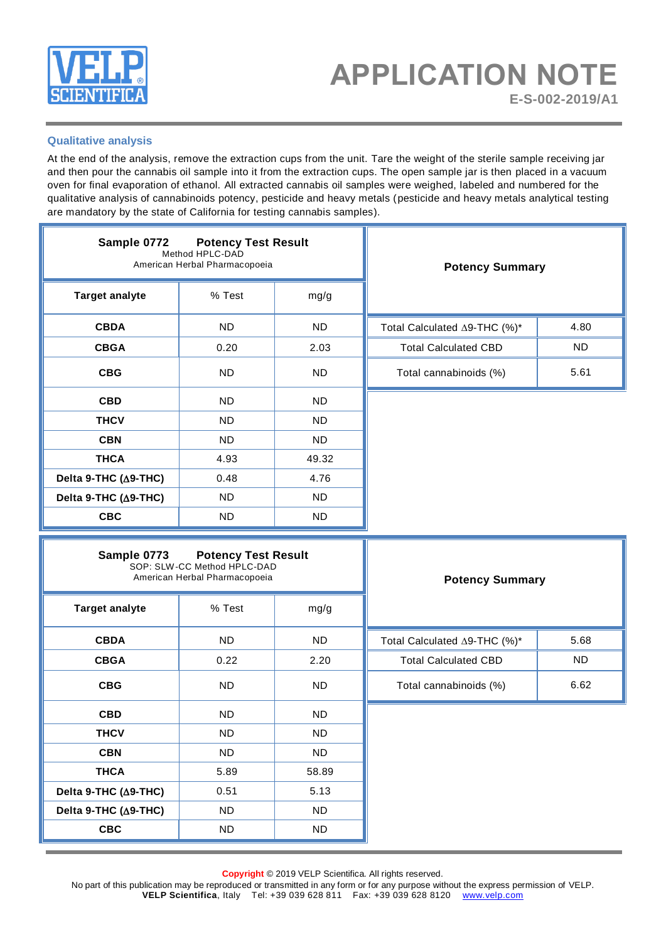

#### **Qualitative analysis**

At the end of the analysis, remove the extraction cups from the unit. Tare the weight of the sterile sample receiving jar and then pour the cannabis oil sample into it from the extraction cups. The open sample jar is then placed in a vacuum oven for final evaporation of ethanol. All extracted cannabis oil samples were weighed, labeled and numbered for the qualitative analysis of cannabinoids potency, pesticide and heavy metals (pesticide and heavy metals analytical testing are mandatory by the state of California for testing cannabis samples).

| Sample 0772<br><b>Potency Test Result</b><br>Method HPLC-DAD<br>American Herbal Pharmacopoeia |           |           | <b>Potency Summary</b>       |      |
|-----------------------------------------------------------------------------------------------|-----------|-----------|------------------------------|------|
| <b>Target analyte</b>                                                                         | % Test    | mg/g      |                              |      |
| <b>CBDA</b>                                                                                   | <b>ND</b> | <b>ND</b> | Total Calculated ∆9-THC (%)* | 4.80 |
| <b>CBGA</b>                                                                                   | 0.20      | 2.03      | <b>Total Calculated CBD</b>  | ND.  |
| <b>CBG</b>                                                                                    | ND.       | ND.       | Total cannabinoids (%)       | 5.61 |
| <b>CBD</b>                                                                                    | ND.       | ND.       |                              |      |
| <b>THCV</b>                                                                                   | ND.       | ND.       |                              |      |
| <b>CBN</b>                                                                                    | <b>ND</b> | ND.       |                              |      |
| <b>THCA</b>                                                                                   | 4.93      | 49.32     |                              |      |
| Delta 9-THC (∆9-THC)                                                                          | 0.48      | 4.76      |                              |      |
| Delta 9-THC (∆9-THC)                                                                          | ND.       | ND.       |                              |      |
| <b>CBC</b>                                                                                    | <b>ND</b> | ND.       |                              |      |

| <b>Sample 0773 Potency Test Result</b><br>SOP: SLW-CC Method HPLC-DAD<br>American Herbal Pharmacopoeia |           |           | <b>Potency Summary</b>       |      |
|--------------------------------------------------------------------------------------------------------|-----------|-----------|------------------------------|------|
| <b>Target analyte</b>                                                                                  | % Test    | mg/g      |                              |      |
| <b>CBDA</b>                                                                                            | <b>ND</b> | <b>ND</b> | Total Calculated ∆9-THC (%)* | 5.68 |
| <b>CBGA</b>                                                                                            | 0.22      | 2.20      | <b>Total Calculated CBD</b>  | ND   |
| <b>CBG</b>                                                                                             | <b>ND</b> | ND.       | Total cannabinoids (%)       | 6.62 |
| <b>CBD</b>                                                                                             | ND.       | ND.       |                              |      |
| <b>THCV</b>                                                                                            | <b>ND</b> | ND.       |                              |      |
| <b>CBN</b>                                                                                             | <b>ND</b> | ND.       |                              |      |
| <b>THCA</b>                                                                                            | 5.89      | 58.89     |                              |      |
| Delta 9-THC (A9-THC)                                                                                   | 0.51      | 5.13      |                              |      |
| Delta 9-THC (∆9-THC)                                                                                   | ND.       | ND.       |                              |      |
| <b>CBC</b>                                                                                             | ND.       | ND.       |                              |      |

 $\overline{\mathbf{r}}$ 

**Copyright** © 2019 VELP Scientifica. All rights reserved.

No part of this publication may be reproduced or transmitted in any form or for any purpose without the express permission of VELP. **VELP Scientifica**, Italy Tel: +39 039 628 811 Fax: +39 039 628 8120 [www.velp.com](http://www.velp.com/)